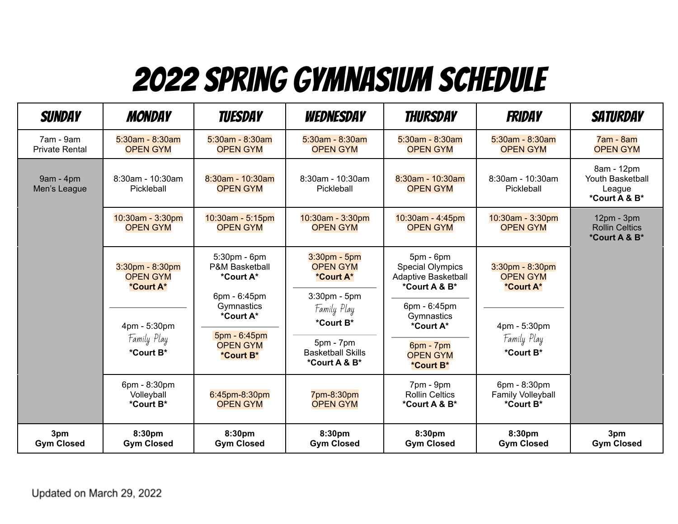## 2022 Spring Gymnasium Schedule

| <b>SUNDAY</b>                      | <b>MONDAY</b>                                         | <b>TUESDAY</b>                                                          | WEDNESDAY                                                          | <b>THURSDAY</b>                                                                | <b>FRIDAY</b>                                         | <b>SATURDAY</b>                                           |
|------------------------------------|-------------------------------------------------------|-------------------------------------------------------------------------|--------------------------------------------------------------------|--------------------------------------------------------------------------------|-------------------------------------------------------|-----------------------------------------------------------|
| 7am - 9am<br><b>Private Rental</b> | $5:30am - 8:30am$<br><b>OPEN GYM</b>                  | $5:30am - 8:30am$<br><b>OPEN GYM</b>                                    | $5:30am - 8:30am$<br><b>OPEN GYM</b>                               | $5:30am - 8:30am$<br><b>OPEN GYM</b>                                           | $5:30am - 8:30am$<br><b>OPEN GYM</b>                  | $7am - 8am$<br><b>OPEN GYM</b>                            |
| $9am - 4pm$<br>Men's League        | 8:30am - 10:30am<br>Pickleball                        | 8:30am - 10:30am<br><b>OPEN GYM</b>                                     | 8:30am - 10:30am<br>Pickleball                                     | 8:30am - 10:30am<br><b>OPEN GYM</b>                                            | 8:30am - 10:30am<br>Pickleball                        | 8am - 12pm<br>Youth Basketball<br>League<br>*Court A & B* |
|                                    | 10:30am - 3:30pm<br><b>OPEN GYM</b>                   | 10:30am - 5:15pm<br><b>OPEN GYM</b>                                     | 10:30am - 3:30pm<br><b>OPEN GYM</b>                                | 10:30am - 4:45pm<br><b>OPEN GYM</b>                                            | 10:30am - 3:30pm<br><b>OPEN GYM</b>                   | $12pm - 3pm$<br><b>Rollin Celtics</b><br>*Court A & B*    |
|                                    | $3:30$ pm - $8:30$ pm<br><b>OPEN GYM</b><br>*Court A* | 5:30pm - 6pm<br><b>P&amp;M Basketball</b><br>*Court A*<br>6pm - 6:45pm  | $3:30$ pm - $5$ pm<br><b>OPEN GYM</b><br>*Court A*<br>3:30pm - 5pm | $5pm - 6pm$<br><b>Special Olympics</b><br>Adaptive Basketball<br>*Court A & B* | $3:30$ pm - $8:30$ pm<br><b>OPEN GYM</b><br>*Court A* |                                                           |
|                                    | 4pm - 5:30pm<br>Family Play<br>*Court B*              | Gymnastics<br>*Court A*<br>5pm - 6:45pm<br><b>OPEN GYM</b><br>*Court B* | Family Play<br>*Court B*                                           | 6pm - 6:45pm<br>Gymnastics<br>*Court A*                                        | 4pm - 5:30pm<br>Family Play<br>*Court B*              |                                                           |
|                                    |                                                       |                                                                         | $5pm - 7pm$<br><b>Basketball Skills</b><br>*Court A & B*           | $6pm - 7pm$<br><b>OPEN GYM</b><br>*Court B*                                    |                                                       |                                                           |
|                                    | 6pm - 8:30pm<br>Volleyball<br>*Court B*               | 6:45pm-8:30pm<br><b>OPEN GYM</b>                                        | 7pm-8:30pm<br><b>OPEN GYM</b>                                      | 7pm - 9pm<br><b>Rollin Celtics</b><br>*Court A & B*                            | 6pm - 8:30pm<br>Family Volleyball<br>*Court B*        |                                                           |
| 3pm<br><b>Gym Closed</b>           | 8:30pm<br><b>Gym Closed</b>                           | 8:30pm<br><b>Gym Closed</b>                                             | 8:30pm<br><b>Gym Closed</b>                                        | 8:30pm<br><b>Gym Closed</b>                                                    | 8:30pm<br><b>Gym Closed</b>                           | 3pm<br><b>Gym Closed</b>                                  |